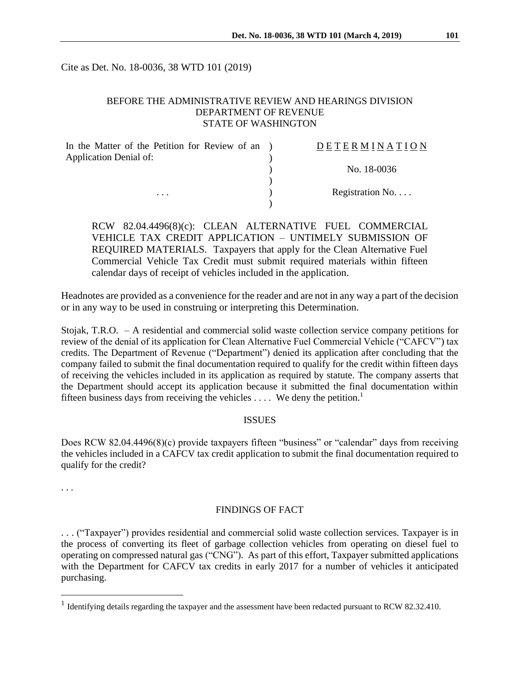Cite as Det. No. 18-0036, 38 WTD 101 (2019)

#### BEFORE THE ADMINISTRATIVE REVIEW AND HEARINGS DIVISION DEPARTMENT OF REVENUE STATE OF WASHINGTON

| In the Matter of the Petition for Review of an ) | DETERMINATION   |
|--------------------------------------------------|-----------------|
| Application Denial of:                           |                 |
|                                                  | No. 18-0036     |
|                                                  |                 |
| $\cdots$                                         | Registration No |
|                                                  |                 |

RCW 82.04.4496(8)(c): CLEAN ALTERNATIVE FUEL COMMERCIAL VEHICLE TAX CREDIT APPLICATION – UNTIMELY SUBMISSION OF REQUIRED MATERIALS. Taxpayers that apply for the Clean Alternative Fuel Commercial Vehicle Tax Credit must submit required materials within fifteen calendar days of receipt of vehicles included in the application.

Headnotes are provided as a convenience for the reader and are not in any way a part of the decision or in any way to be used in construing or interpreting this Determination.

Stojak, T.R.O. – A residential and commercial solid waste collection service company petitions for review of the denial of its application for Clean Alternative Fuel Commercial Vehicle ("CAFCV") tax credits. The Department of Revenue ("Department") denied its application after concluding that the company failed to submit the final documentation required to qualify for the credit within fifteen days of receiving the vehicles included in its application as required by statute. The company asserts that the Department should accept its application because it submitted the final documentation within fifteen business days from receiving the vehicles  $\dots$ . We deny the petition.<sup>1</sup>

#### ISSUES

Does RCW 82.04.4496(8)(c) provide taxpayers fifteen "business" or "calendar" days from receiving the vehicles included in a CAFCV tax credit application to submit the final documentation required to qualify for the credit?

. . .

 $\overline{a}$ 

### FINDINGS OF FACT

. . . ("Taxpayer") provides residential and commercial solid waste collection services. Taxpayer is in the process of converting its fleet of garbage collection vehicles from operating on diesel fuel to operating on compressed natural gas ("CNG"). As part of this effort, Taxpayer submitted applications with the Department for CAFCV tax credits in early 2017 for a number of vehicles it anticipated purchasing.

<sup>&</sup>lt;sup>1</sup> Identifying details regarding the taxpayer and the assessment have been redacted pursuant to RCW 82.32.410.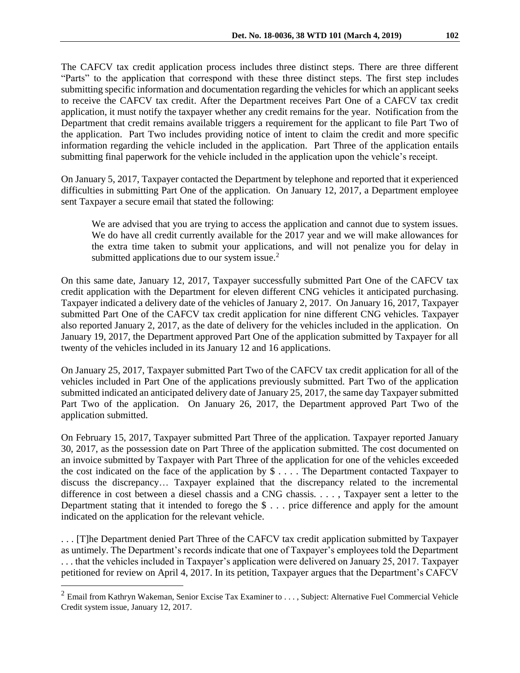The CAFCV tax credit application process includes three distinct steps. There are three different "Parts" to the application that correspond with these three distinct steps. The first step includes submitting specific information and documentation regarding the vehicles for which an applicant seeks to receive the CAFCV tax credit. After the Department receives Part One of a CAFCV tax credit application, it must notify the taxpayer whether any credit remains for the year. Notification from the Department that credit remains available triggers a requirement for the applicant to file Part Two of the application. Part Two includes providing notice of intent to claim the credit and more specific information regarding the vehicle included in the application. Part Three of the application entails submitting final paperwork for the vehicle included in the application upon the vehicle's receipt.

On January 5, 2017, Taxpayer contacted the Department by telephone and reported that it experienced difficulties in submitting Part One of the application. On January 12, 2017, a Department employee sent Taxpayer a secure email that stated the following:

We are advised that you are trying to access the application and cannot due to system issues. We do have all credit currently available for the 2017 year and we will make allowances for the extra time taken to submit your applications, and will not penalize you for delay in submitted applications due to our system issue. $2$ 

On this same date, January 12, 2017, Taxpayer successfully submitted Part One of the CAFCV tax credit application with the Department for eleven different CNG vehicles it anticipated purchasing. Taxpayer indicated a delivery date of the vehicles of January 2, 2017. On January 16, 2017, Taxpayer submitted Part One of the CAFCV tax credit application for nine different CNG vehicles. Taxpayer also reported January 2, 2017, as the date of delivery for the vehicles included in the application. On January 19, 2017, the Department approved Part One of the application submitted by Taxpayer for all twenty of the vehicles included in its January 12 and 16 applications.

On January 25, 2017, Taxpayer submitted Part Two of the CAFCV tax credit application for all of the vehicles included in Part One of the applications previously submitted. Part Two of the application submitted indicated an anticipated delivery date of January 25, 2017, the same day Taxpayer submitted Part Two of the application. On January 26, 2017, the Department approved Part Two of the application submitted.

On February 15, 2017, Taxpayer submitted Part Three of the application. Taxpayer reported January 30, 2017, as the possession date on Part Three of the application submitted. The cost documented on an invoice submitted by Taxpayer with Part Three of the application for one of the vehicles exceeded the cost indicated on the face of the application by \$ . . . . The Department contacted Taxpayer to discuss the discrepancy… Taxpayer explained that the discrepancy related to the incremental difference in cost between a diesel chassis and a CNG chassis. . . . , Taxpayer sent a letter to the Department stating that it intended to forego the \$ . . . price difference and apply for the amount indicated on the application for the relevant vehicle.

. . . [T]he Department denied Part Three of the CAFCV tax credit application submitted by Taxpayer as untimely. The Department's records indicate that one of Taxpayer's employees told the Department . . . that the vehicles included in Taxpayer's application were delivered on January 25, 2017. Taxpayer petitioned for review on April 4, 2017. In its petition, Taxpayer argues that the Department's CAFCV

 $\overline{a}$ 

<sup>&</sup>lt;sup>2</sup> Email from Kathryn Wakeman, Senior Excise Tax Examiner to . . . , Subject: Alternative Fuel Commercial Vehicle Credit system issue, January 12, 2017.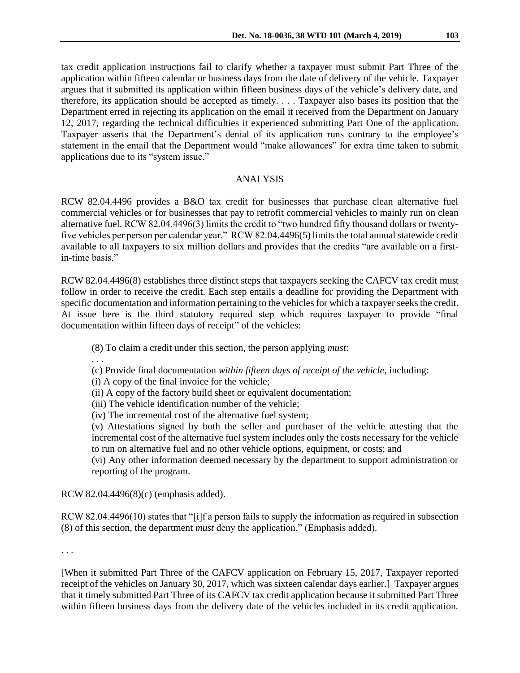tax credit application instructions fail to clarify whether a taxpayer must submit Part Three of the application within fifteen calendar or business days from the date of delivery of the vehicle. Taxpayer argues that it submitted its application within fifteen business days of the vehicle's delivery date, and therefore, its application should be accepted as timely. . . . Taxpayer also bases its position that the Department erred in rejecting its application on the email it received from the Department on January 12, 2017, regarding the technical difficulties it experienced submitting Part One of the application. Taxpayer asserts that the Department's denial of its application runs contrary to the employee's statement in the email that the Department would "make allowances" for extra time taken to submit applications due to its "system issue."

## ANALYSIS

RCW 82.04.4496 provides a B&O tax credit for businesses that purchase clean alternative fuel commercial vehicles or for businesses that pay to retrofit commercial vehicles to mainly run on clean alternative fuel. RCW 82.04.4496(3) limits the credit to "two hundred fifty thousand dollars or twentyfive vehicles per person per calendar year." RCW 82.04.4496(5) limits the total annual statewide credit available to all taxpayers to six million dollars and provides that the credits "are available on a firstin-time basis."

RCW 82.04.4496(8) establishes three distinct steps that taxpayers seeking the CAFCV tax credit must follow in order to receive the credit. Each step entails a deadline for providing the Department with specific documentation and information pertaining to the vehicles for which a taxpayer seeks the credit. At issue here is the third statutory required step which requires taxpayer to provide "final documentation within fifteen days of receipt" of the vehicles:

(8) To claim a credit under this section, the person applying *must*:

. . .

(c) Provide final documentation *within fifteen days of receipt of the vehicle*, including:

(i) A copy of the final invoice for the vehicle;

(ii) A copy of the factory build sheet or equivalent documentation;

(iii) The vehicle identification number of the vehicle;

(iv) The incremental cost of the alternative fuel system;

(v) Attestations signed by both the seller and purchaser of the vehicle attesting that the incremental cost of the alternative fuel system includes only the costs necessary for the vehicle to run on alternative fuel and no other vehicle options, equipment, or costs; and

(vi) Any other information deemed necessary by the department to support administration or reporting of the program.

RCW 82.04.4496(8)(c) (emphasis added).

RCW 82.04.4496(10) states that "[i]f a person fails to supply the information as required in subsection (8) of this section, the department *must* deny the application." (Emphasis added).

. . .

[When it submitted Part Three of the CAFCV application on February 15, 2017, Taxpayer reported receipt of the vehicles on January 30, 2017, which was sixteen calendar days earlier.] Taxpayer argues that it timely submitted Part Three of its CAFCV tax credit application because it submitted Part Three within fifteen business days from the delivery date of the vehicles included in its credit application.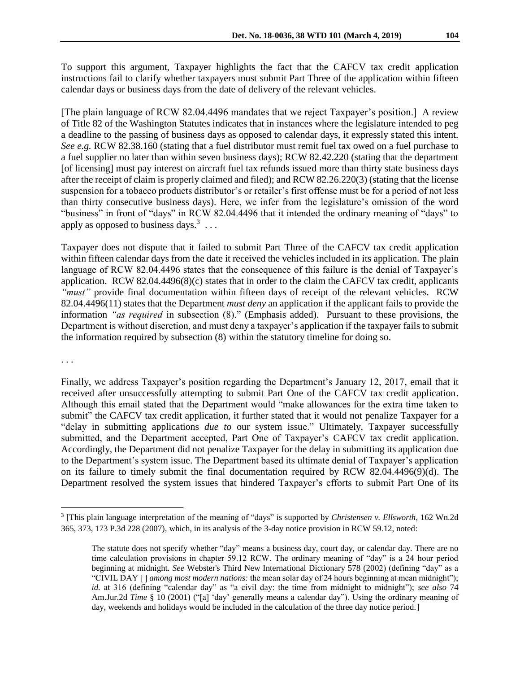To support this argument, Taxpayer highlights the fact that the CAFCV tax credit application instructions fail to clarify whether taxpayers must submit Part Three of the application within fifteen calendar days or business days from the date of delivery of the relevant vehicles.

[The plain language of RCW 82.04.4496 mandates that we reject Taxpayer's position.] A review of Title 82 of the Washington Statutes indicates that in instances where the legislature intended to peg a deadline to the passing of business days as opposed to calendar days, it expressly stated this intent. *See e.g.* RCW 82.38.160 (stating that a fuel distributor must remit fuel tax owed on a fuel purchase to a fuel supplier no later than within seven business days); RCW 82.42.220 (stating that the department [of licensing] must pay interest on aircraft fuel tax refunds issued more than thirty state business days after the receipt of claim is properly claimed and filed); and RCW 82.26.220(3) (stating that the license suspension for a tobacco products distributor's or retailer's first offense must be for a period of not less than thirty consecutive business days). Here, we infer from the legislature's omission of the word "business" in front of "days" in RCW 82.04.4496 that it intended the ordinary meaning of "days" to apply as opposed to business days.<sup>3</sup> ...

Taxpayer does not dispute that it failed to submit Part Three of the CAFCV tax credit application within fifteen calendar days from the date it received the vehicles included in its application. The plain language of RCW 82.04.4496 states that the consequence of this failure is the denial of Taxpayer's application. RCW 82.04.4496(8)(c) states that in order to the claim the CAFCV tax credit, applicants *"must"* provide final documentation within fifteen days of receipt of the relevant vehicles. RCW 82.04.4496(11) states that the Department *must deny* an application if the applicant fails to provide the information *"as required* in subsection (8)." (Emphasis added). Pursuant to these provisions, the Department is without discretion, and must deny a taxpayer's application if the taxpayer fails to submit the information required by subsection (8) within the statutory timeline for doing so.

. . .

 $\overline{a}$ 

Finally, we address Taxpayer's position regarding the Department's January 12, 2017, email that it received after unsuccessfully attempting to submit Part One of the CAFCV tax credit application. Although this email stated that the Department would "make allowances for the extra time taken to submit" the CAFCV tax credit application, it further stated that it would not penalize Taxpayer for a "delay in submitting applications *due to* our system issue." Ultimately, Taxpayer successfully submitted, and the Department accepted, Part One of Taxpayer's CAFCV tax credit application. Accordingly, the Department did not penalize Taxpayer for the delay in submitting its application due to the Department's system issue. The Department based its ultimate denial of Taxpayer's application on its failure to timely submit the final documentation required by RCW 82.04.4496(9)(d). The Department resolved the system issues that hindered Taxpayer's efforts to submit Part One of its

<sup>3</sup> [This plain language interpretation of the meaning of "days" is supported by *Christensen v. Ellsworth*, 162 Wn.2d 365, 373, 173 P.3d 228 (2007), which, in its analysis of the 3-day notice provision in RCW 59.12, noted:

The statute does not specify whether "day" means a business day, court day, or calendar day. There are no time calculation provisions in chapter 59.12 RCW. The ordinary meaning of "day" is a 24 hour period beginning at midnight. *See* Webster's Third New International Dictionary 578 (2002) (defining "day" as a "CIVIL DAY [ ] *among most modern nations:* the mean solar day of 24 hours beginning at mean midnight"); *id.* at 316 (defining "calendar day" as "a civil day: the time from midnight to midnight"); *see also* [74](https://1.next.westlaw.com/Link/Document/FullText?findType=Y&serNum=0281515280&pubNum=0113743&originatingDoc=I2ac75abfa42711dc9876f446780b7bdc&refType=TS&originationContext=document&transitionType=DocumentItem&contextData=(sc.Search))  Am.Jur.2d *Time* [§ 10 \(2001\)](https://1.next.westlaw.com/Link/Document/FullText?findType=Y&serNum=0281515280&pubNum=0113743&originatingDoc=I2ac75abfa42711dc9876f446780b7bdc&refType=TS&originationContext=document&transitionType=DocumentItem&contextData=(sc.Search)) ("[a] 'day' generally means a calendar day"). Using the ordinary meaning of day, weekends and holidays would be included in the calculation of the three day notice period.]